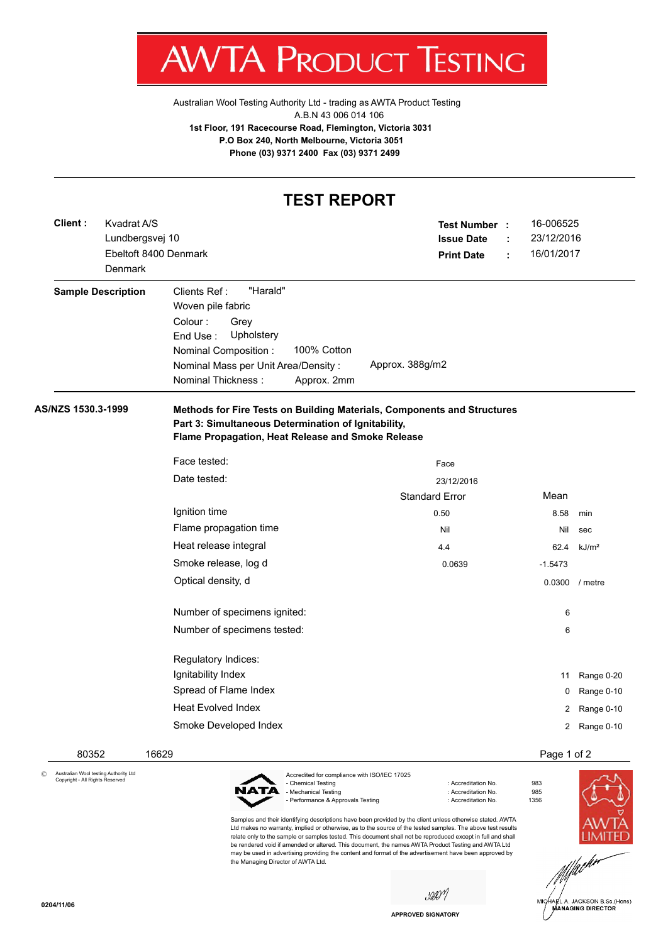

Australian Wool Testing Authority Ltd - trading as AWTA Product Testing A.B.N 43 006 014 106 **1st Floor, 191 Racecourse Road, Flemington, Victoria 3031 P.O Box 240, North Melbourne, Victoria 3051 Phone (03) 9371 2400 Fax (03) 9371 2499**

## **TEST REPORT**

| Client: | Kvadrat A/S<br>Lundbergsvej 10<br>Denmark | Ebeltoft 8400 Denmark     | Test Number :<br><b>Issue Date</b><br><b>Print Date</b>                                                                                                                                                               | ÷                                                                       | 16-006525<br>23/12/2016<br>16/01/2017 |                |                   |
|---------|-------------------------------------------|---------------------------|-----------------------------------------------------------------------------------------------------------------------------------------------------------------------------------------------------------------------|-------------------------------------------------------------------------|---------------------------------------|----------------|-------------------|
|         |                                           | <b>Sample Description</b> | "Harald"<br>Clients Ref:<br>Woven pile fabric<br>Colour:<br>Grey<br>End Use:<br>Upholstery<br>100% Cotton<br>Nominal Composition :<br>Nominal Mass per Unit Area/Density:<br><b>Nominal Thickness:</b><br>Approx. 2mm | Approx. 388g/m2                                                         |                                       |                |                   |
|         | AS/NZS 1530.3-1999                        |                           | Part 3: Simultaneous Determination of Ignitability,<br>Flame Propagation, Heat Release and Smoke Release                                                                                                              | Methods for Fire Tests on Building Materials, Components and Structures |                                       |                |                   |
|         |                                           |                           | Face tested:                                                                                                                                                                                                          | Face                                                                    |                                       |                |                   |
|         |                                           |                           | Date tested:                                                                                                                                                                                                          | 23/12/2016                                                              |                                       |                |                   |
|         |                                           |                           |                                                                                                                                                                                                                       | <b>Standard Error</b>                                                   |                                       | Mean           |                   |
|         |                                           |                           | Ignition time                                                                                                                                                                                                         | 0.50                                                                    |                                       | 8.58           | min               |
|         |                                           |                           | Flame propagation time                                                                                                                                                                                                | Nil                                                                     |                                       | Nil            | sec               |
|         |                                           |                           | Heat release integral                                                                                                                                                                                                 | 4.4                                                                     |                                       | 62.4           | kJ/m <sup>2</sup> |
|         |                                           |                           | Smoke release, log d                                                                                                                                                                                                  | 0.0639                                                                  |                                       | $-1.5473$      |                   |
|         |                                           |                           | Optical density, d                                                                                                                                                                                                    |                                                                         |                                       | 0.0300 / metre |                   |
|         |                                           |                           | Number of specimens ignited:                                                                                                                                                                                          |                                                                         |                                       | 6              |                   |
|         |                                           |                           | Number of specimens tested:                                                                                                                                                                                           |                                                                         |                                       | 6              |                   |
|         |                                           |                           | Regulatory Indices:                                                                                                                                                                                                   |                                                                         |                                       |                |                   |
|         |                                           |                           | Ignitability Index                                                                                                                                                                                                    |                                                                         |                                       | 11             | Range 0-20        |
|         |                                           |                           | Spread of Flame Index                                                                                                                                                                                                 |                                                                         |                                       | 0              | Range 0-10        |
|         |                                           |                           | <b>Heat Evolved Index</b>                                                                                                                                                                                             |                                                                         |                                       | 2              | Range 0-10        |
|         |                                           |                           | Smoke Developed Index                                                                                                                                                                                                 |                                                                         |                                       |                | 2 Range 0-10      |
|         | 80352                                     |                           | 16629                                                                                                                                                                                                                 |                                                                         |                                       | Page 1 of 2    |                   |

© Australian Wool testing Authority Ltd Copyright - All Rights Reserved



Accredited for compliance with ISO/IEC 17025<br>- Chemical Testing - Mechanical Testing - Performance & Approvals Testing in the state of the contract of Accreditation No. 61356

Samples and their identifying descriptions have been provided by the client unless otherwise stated. AWTA Ltd makes no warranty, implied or otherwise, as to the source of the tested samples. The above test results relate only to the sample or samples tested. This document shall not be reproduced except in full and shall be rendered void if amended or altered. This document, the names AWTA Product Testing and AWTA Ltd may be used in advertising providing the content and format of the advertisement have been approved by the Managing Director of AWTA Ltd.

: Accreditation No. 983<br>: Accreditation No. 985



saon

**APPROVED SIGNATORY**